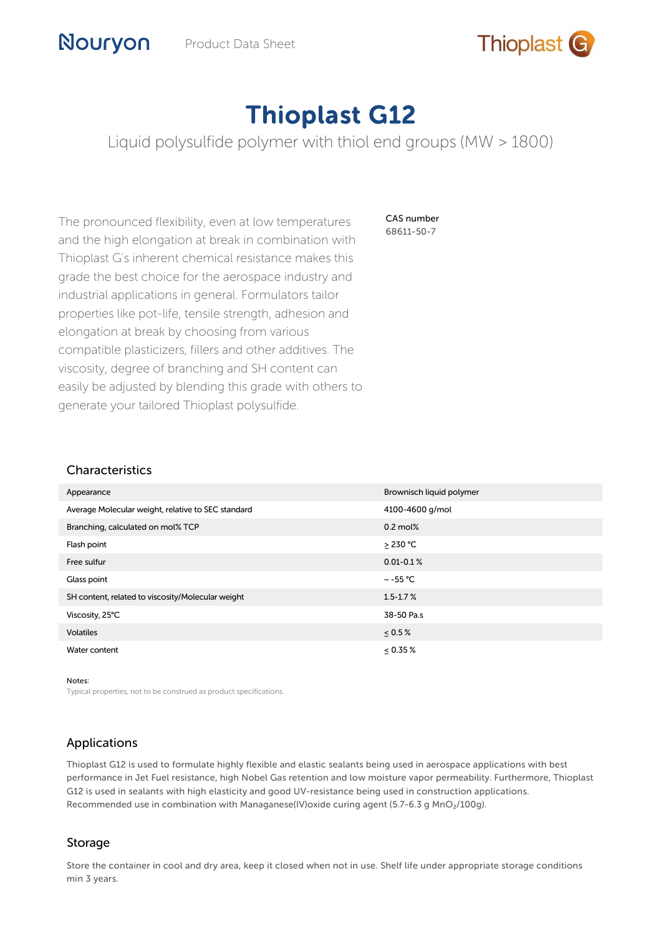

# Thioplast G12

Liquid polysulfide polymer with thiol end groups (MW > 1800)

The pronounced flexibility, even at low temperatures and the high elongation at break in combination with Thioplast G's inherent chemical resistance makes this grade the best choice for the aerospace industry and industrial applications in general. Formulators tailor properties like pot-life, tensile strength, adhesion and elongation at break by choosing from various compatible plasticizers, fillers and other additives. The viscosity, degree of branching and SH content can easily be adjusted by blending this grade with others to generate your tailored Thioplast polysulfide.

CAS number 68611-50-7

#### Characteristics

| Appearance                                         | Brownisch liquid polymer |
|----------------------------------------------------|--------------------------|
| Average Molecular weight, relative to SEC standard | 4100-4600 g/mol          |
| Branching, calculated on mol% TCP                  | $0.2 \text{ mol\%}$      |
| Flash point                                        | $\geq$ 230 °C            |
| Free sulfur                                        | $0.01 - 0.1 %$           |
| Glass point                                        | $\sim$ -55 °C            |
| SH content, related to viscosity/Molecular weight  | $1.5 - 1.7 %$            |
| Viscosity, 25°C                                    | 38-50 Pa.s               |
| <b>Volatiles</b>                                   | $\leq 0.5\%$             |
| Water content                                      | $< 0.35 \%$              |

Notes:

Typical properties, not to be construed as product specifications.

## Applications

Thioplast G12 is used to formulate highly flexible and elastic sealants being used in aerospace applications with best performance in Jet Fuel resistance, high Nobel Gas retention and low moisture vapor permeability. Furthermore, Thioplast G12 is used in sealants with high elasticity and good UV-resistance being used in construction applications. Recommended use in combination with Managanese(IV)oxide curing agent (5.7-6.3 g MnO<sub>2</sub>/100g).

### Storage

Store the container in cool and dry area, keep it closed when not in use. Shelf life under appropriate storage conditions min 3 years.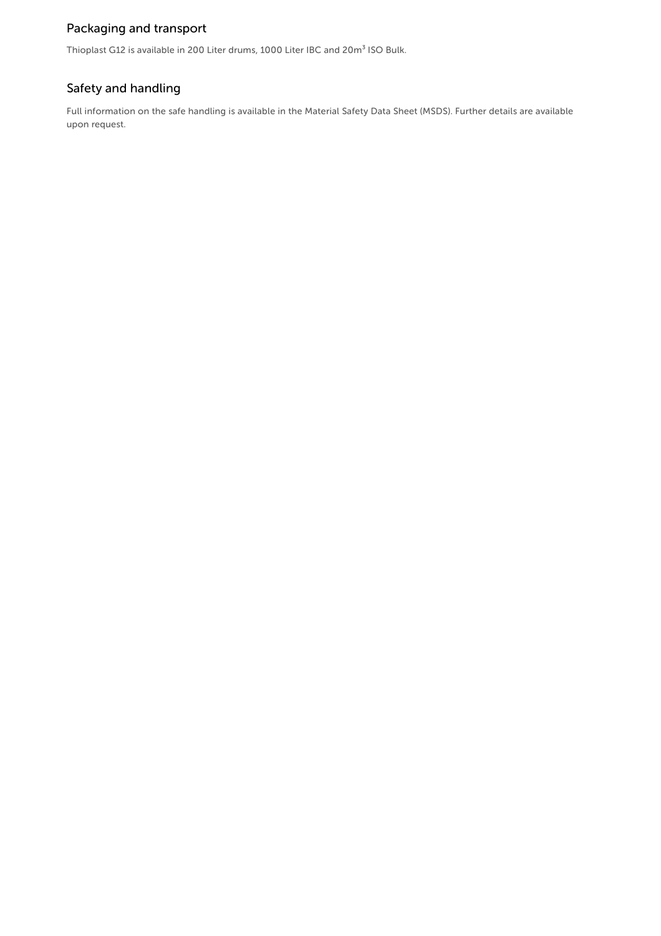## Packaging and transport

Thioplast G12 is available in 200 Liter drums, 1000 Liter IBC and 20m<sup>3</sup> ISO Bulk.

## Safety and handling

Full information on the safe handling is available in the Material Safety Data Sheet (MSDS). Further details are available upon request.